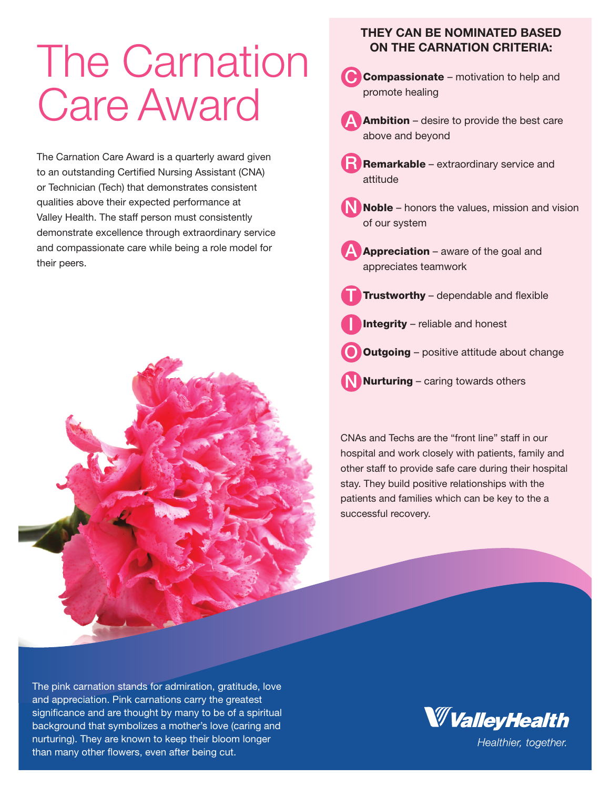## The Carnation Care Award

The Carnation Care Award is a quarterly award given to an outstanding Certified Nursing Assistant (CNA) or Technician (Tech) that demonstrates consistent qualities above their expected performance at Valley Health. The staff person must consistently demonstrate excellence through extraordinary service and compassionate care while being a role model for their peers.



## THEY CAN BE NOMINATED BASED ON THE CARNATION CRITERIA:



CNAs and Techs are the "front line" staff in our hospital and work closely with patients, family and other staff to provide safe care during their hospital stay. They build positive relationships with the patients and families which can be key to the a successful recovery.

The pink carnation stands for admiration, gratitude, love and appreciation. Pink carnations carry the greatest significance and are thought by many to be of a spiritual background that symbolizes a mother's love (caring and nurturing). They are known to keep their bloom longer than many other flowers, even after being cut.



Healthier, together.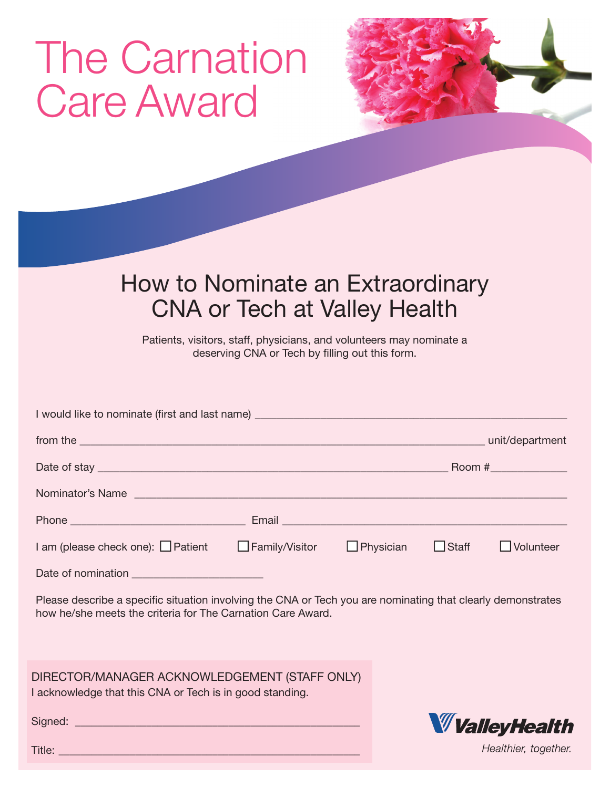## The Carnation Care Award



## How to Nominate an Extraordinary CNA or Tech at Valley Health

Patients, visitors, staff, physicians, and volunteers may nominate a deserving CNA or Tech by filling out this form.

| I would like to nominate (first and last name) _________________________________                                                                                                                                                    |                       |                                                                                                               |              |                  |
|-------------------------------------------------------------------------------------------------------------------------------------------------------------------------------------------------------------------------------------|-----------------------|---------------------------------------------------------------------------------------------------------------|--------------|------------------|
|                                                                                                                                                                                                                                     |                       |                                                                                                               |              | unit/department  |
|                                                                                                                                                                                                                                     |                       |                                                                                                               |              |                  |
| Nominator's Name                                                                                                                                                                                                                    |                       |                                                                                                               |              |                  |
| Phone <u>experience</u> and the contract of the contract of the contract of the contract of the contract of the contract of the contract of the contract of the contract of the contract of the contract of the contract of the con |                       | Email and the contract of the contract of the contract of the contract of the contract of the contract of the |              |                  |
| I am (please check one): $\Box$ Patient                                                                                                                                                                                             | $\Box$ Family/Visitor | $\Box$ Physician                                                                                              | $\Box$ Staff | $\Box$ Volunteer |
| Date of nomination                                                                                                                                                                                                                  |                       |                                                                                                               |              |                  |

Please describe a specific situation involving the CNA or Tech you are nominating that clearly demonstrates how he/she meets the criteria for The Carnation Care Award.

DIRECTOR/MANAGER ACKNOWLEDGEMENT (STAFF ONLY) I acknowledge that this CNA or Tech is in good standing.

Signed: \_\_\_\_\_\_\_\_\_\_\_\_\_\_\_\_\_\_\_\_\_\_\_\_\_\_\_\_\_\_\_\_\_\_\_\_\_\_\_\_\_\_\_\_\_\_\_\_\_\_\_\_

**W** Valley Health

Healthier, together.

Title: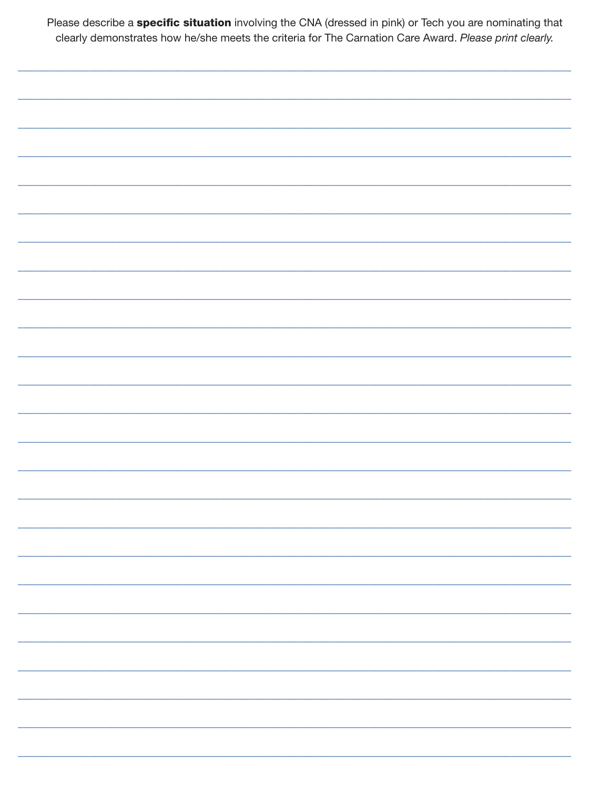Please describe a specific situation involving the CNA (dressed in pink) or Tech you are nominating that clearly demonstrates how he/she meets the criteria for The Carnation Care Award. Please print clearly.

|  | __________                |
|--|---------------------------|
|  |                           |
|  | _________________________ |
|  | ______________________    |
|  |                           |
|  |                           |
|  | Ξ.                        |
|  |                           |
|  |                           |
|  |                           |
|  |                           |
|  |                           |